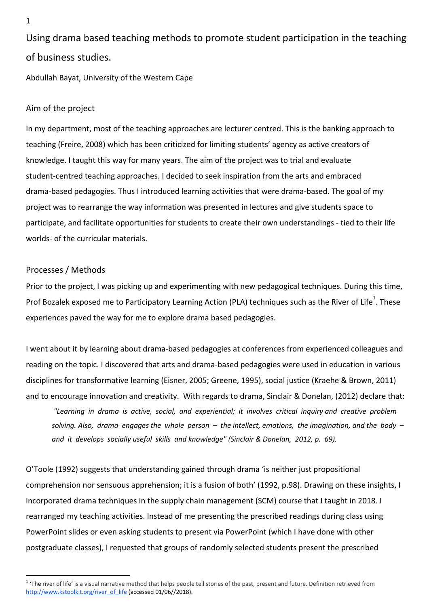1

Using drama based teaching methods to promote student participation in the teaching of business studies.

Abdullah Bayat, University of the Western Cape

## Aim of the project

In my department, most of the teaching approaches are lecturer centred. This is the banking approach to teaching (Freire, 2008) which has been criticized for limiting students' agency as active creators of knowledge. I taught this way for many years. The aim of the project was to trial and evaluate student-centred teaching approaches. I decided to seek inspiration from the arts and embraced drama-based pedagogies. Thus I introduced learning activities that were drama-based. The goal of my project was to rearrange the way information was presented in lectures and give students space to participate, and facilitate opportunities for students to create their own understandings - tied to their life worlds- of the curricular materials.

## Processes / Methods

Prior to the project, I was picking up and experimenting with new pedagogical techniques. During this time, Prof Bozalek exposed me to Participatory Learning Action (PLA) techniques such as the River of Life<sup>1</sup>. These experiences paved the way for me to explore drama based pedagogies.

I went about it by learning about drama-based pedagogies at conferences from experienced colleagues and reading on the topic. I discovered that arts and drama-based pedagogies were used in education in various disciplines for transformative learning (Eisner, 2005; Greene, 1995), social justice (Kraehe & Brown, 2011) and to encourage innovation and creativity. With regards to drama, Sinclair & Donelan, (2012) declare that:

*"Learning in drama is active, social, and experiential; it involves critical inquiry and creative problem solving. Also, drama engages the whole person – the intellect, emotions, the imagination, and the body – and it develops socially useful skills and knowledge" (Sinclair & Donelan, 2012, p. 69).*

O'Toole (1992) suggests that understanding gained through drama 'is neither just propositional comprehension nor sensuous apprehension; it is a fusion of both' (1992, p.98). Drawing on these insights, I incorporated drama techniques in the supply chain management (SCM) course that I taught in 2018. I rearranged my teaching activities. Instead of me presenting the prescribed readings during class using PowerPoint slides or even asking students to present via PowerPoint (which I have done with other postgraduate classes), I requested that groups of randomly selected students present the prescribed

<sup>&</sup>lt;sup>1</sup> 'The river of life' is a visual narrative method that helps people tell stories of the past, present and future. Definition retrieved from [http://www.kstoolkit.org/river\\_of\\_life](http://www.kstoolkit.org/river_of_life) (accessed 01/06//2018).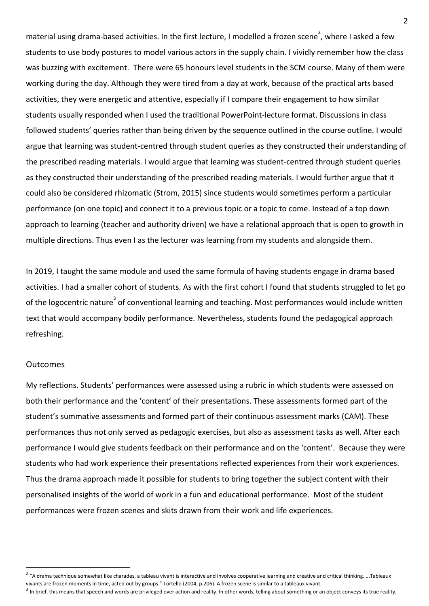material using drama-based activities. In the first lecture, I modelled a frozen scene<sup>2</sup>, where I asked a few students to use body postures to model various actors in the supply chain. I vividly remember how the class was buzzing with excitement. There were 65 honours level students in the SCM course. Many of them were working during the day. Although they were tired from a day at work, because of the practical arts based activities, they were energetic and attentive, especially if I compare their engagement to how similar students usually responded when I used the traditional PowerPoint-lecture format. Discussions in class followed students' queries rather than being driven by the sequence outlined in the course outline. I would argue that learning was student-centred through student queries as they constructed their understanding of the prescribed reading materials. I would argue that learning was student-centred through student queries as they constructed their understanding of the prescribed reading materials. I would further argue that it could also be considered rhizomatic (Strom, 2015) since students would sometimes perform a particular performance (on one topic) and connect it to a previous topic or a topic to come. Instead of a top down approach to learning (teacher and authority driven) we have a relational approach that is open to growth in multiple directions. Thus even I as the lecturer was learning from my students and alongside them.

In 2019, I taught the same module and used the same formula of having students engage in drama based activities. I had a smaller cohort of students. As with the first cohort I found that students struggled to let go of the logocentric nature<sup>3</sup> of conventional learning and teaching. Most performances would include written text that would accompany bodily performance. Nevertheless, students found the pedagogical approach refreshing.

## **Outcomes**

My reflections. Students' performances were assessed using a rubric in which students were assessed on both their performance and the 'content' of their presentations. These assessments formed part of the student's summative assessments and formed part of their continuous assessment marks (CAM). These performances thus not only served as pedagogic exercises, but also as assessment tasks as well. After each performance I would give students feedback on their performance and on the 'content'. Because they were students who had work experience their presentations reflected experiences from their work experiences. Thus the drama approach made it possible for students to bring together the subject content with their personalised insights of the world of work in a fun and educational performance. Most of the student performances were frozen scenes and skits drawn from their work and life experiences.

 $^2$  "A drama technique somewhat like charades, a tableau vivant is interactive and involves cooperative learning and creative and critical thinking. ...Tableaux vivants are frozen moments in time, acted out by groups." Tortello (2004, p.206). A frozen scene is similar to a tableaux vivant.

 $^3$  In brief, this means that speech and words are privileged over action and reality. In other words, telling about something or an object conveys its true reality.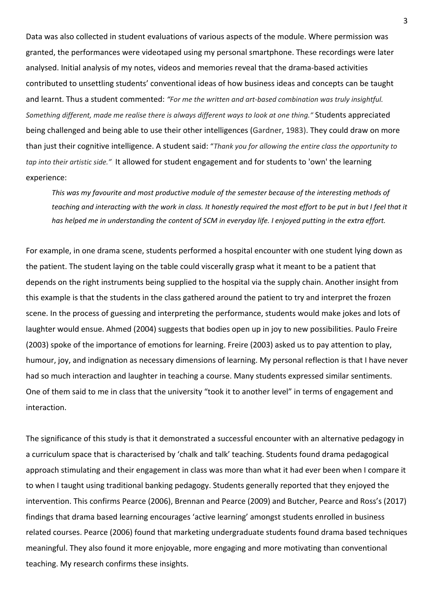Data was also collected in student evaluations of various aspects of the module. Where permission was granted, the performances were videotaped using my personal smartphone. These recordings were later analysed. Initial analysis of my notes, videos and memories reveal that the drama-based activities contributed to unsettling students' conventional ideas of how business ideas and concepts can be taught and learnt. Thus a student commented: *"For me the written and art-based combination was truly insightful. Something different, made me realise there is always different ways to look at one thing."* Students appreciated being challenged and being able to use their other intelligences (Gardner, 1983). They could draw on more than just their cognitive intelligence. A student said: "*Thank you for allowing the entire class the opportunity to tap into their artistic side."* It allowed for student engagement and for students to 'own' the learning experience:

*This was my favourite and most productive module of the semester because of the interesting methods of* teaching and interacting with the work in class. It honestly required the most effort to be put in but I feel that it has helped me in understanding the content of SCM in everyday life. I enjoyed putting in the extra effort.

For example, in one drama scene, students performed a hospital encounter with one student lying down as the patient. The student laying on the table could viscerally grasp what it meant to be a patient that depends on the right instruments being supplied to the hospital via the supply chain. Another insight from this example is that the students in the class gathered around the patient to try and interpret the frozen scene. In the process of guessing and interpreting the performance, students would make jokes and lots of laughter would ensue. Ahmed (2004) suggests that bodies open up in joy to new possibilities. Paulo Freire (2003) spoke of the importance of emotions for learning. Freire (2003) asked us to pay attention to play, humour, joy, and indignation as necessary dimensions of learning. My personal reflection is that I have never had so much interaction and laughter in teaching a course. Many students expressed similar sentiments. One of them said to me in class that the university "took it to another level" in terms of engagement and interaction.

The significance of this study is that it demonstrated a successful encounter with an alternative pedagogy in a curriculum space that is characterised by 'chalk and talk' teaching. Students found drama pedagogical approach stimulating and their engagement in class was more than what it had ever been when I compare it to when I taught using traditional banking pedagogy. Students generally reported that they enjoyed the intervention. This confirms Pearce (2006), Brennan and Pearce (2009) and Butcher, Pearce and Ross's (2017) findings that drama based learning encourages 'active learning' amongst students enrolled in business related courses. Pearce (2006) found that marketing undergraduate students found drama based techniques meaningful. They also found it more enjoyable, more engaging and more motivating than conventional teaching. My research confirms these insights.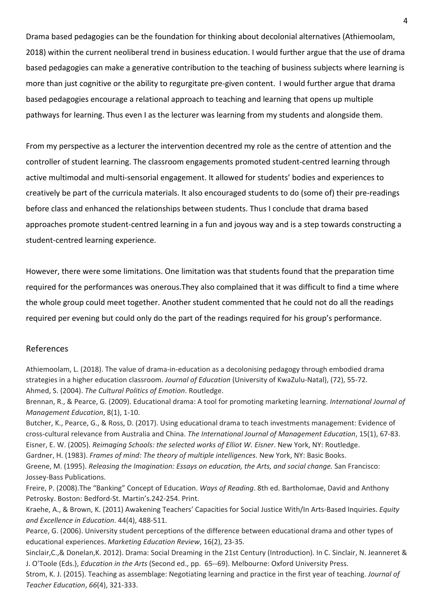Drama based pedagogies can be the foundation for thinking about decolonial alternatives (Athiemoolam, 2018) within the current neoliberal trend in business education. I would further argue that the use of drama based pedagogies can make a generative contribution to the teaching of business subjects where learning is more than just cognitive or the ability to regurgitate pre-given content. I would further argue that drama based pedagogies encourage a relational approach to teaching and learning that opens up multiple pathways for learning. Thus even I as the lecturer was learning from my students and alongside them.

From my perspective as a lecturer the intervention decentred my role as the centre of attention and the controller of student learning. The classroom engagements promoted student-centred learning through active multimodal and multi-sensorial engagement. It allowed for students' bodies and experiences to creatively be part of the curricula materials. It also encouraged students to do (some of) their pre-readings before class and enhanced the relationships between students. Thus I conclude that drama based approaches promote student-centred learning in a fun and joyous way and is a step towards constructing a student-centred learning experience.

However, there were some limitations. One limitation was that students found that the preparation time required for the performances was onerous.They also complained that it was difficult to find a time where the whole group could meet together. Another student commented that he could not do all the readings required per evening but could only do the part of the readings required for his group's performance.

## References

Athiemoolam, L. (2018). The value of drama-in-education as a decolonising pedagogy through embodied drama strategies in a higher education classroom. *Journal of Education* (University of KwaZulu-Natal), (72), 55-72. Ahmed, S. (2004). *The Cultural Politics of Emotion*. Routledge.

Brennan, R., & Pearce, G. (2009). Educational drama: A tool for promoting marketing learning. *International Journal of Management Education*, 8(1), 1-10.

Butcher, K., Pearce, G., & Ross, D. (2017). Using educational drama to teach investments management: Evidence of cross-cultural relevance from Australia and China. *The International Journal of Management Education*, 15(1), 67-83. Eisner, E. W. (2005). *Reimaging Schools: the selected works of Elliot W. Eisner*. New York, NY: Routledge.

Gardner, H. (1983). *Frames of mind: The theory of multiple intelligences*. New York, NY: Basic Books.

Greene, M. (1995). *Releasing the Imagination: Essays on education, the Arts, and social change.* San Francisco: Jossey-Bass Publications.

Freire, P. (2008).The "Banking" Concept of Education. *Ways of Reading*. 8th ed. Bartholomae, David and Anthony Petrosky. Boston: Bedford-St. Martin's.242-254. Print.

Kraehe, A., & Brown, K. (2011) Awakening Teachers' Capacities for Social Justice With/In Arts-Based Inquiries. *Equity and Excellence in Education*. 44(4), 488-511.

Pearce, G. (2006). University student perceptions of the difference between educational drama and other types of educational experiences. *Marketing Education Review*, 16(2), 23-35.

Sinclair,C.,& Donelan,K. 2012). Drama: Social Dreaming in the 21st Century (Introduction). In C. Sinclair, N. Jeanneret & J. O'Toole (Eds.), *Education in the Arts* (Second ed., pp. 65--69). Melbourne: Oxford University Press.

Strom, K. J. (2015). Teaching as assemblage: Negotiating learning and practice in the first year of teaching. *Journal of Teacher Education*, *66*(4), 321-333.